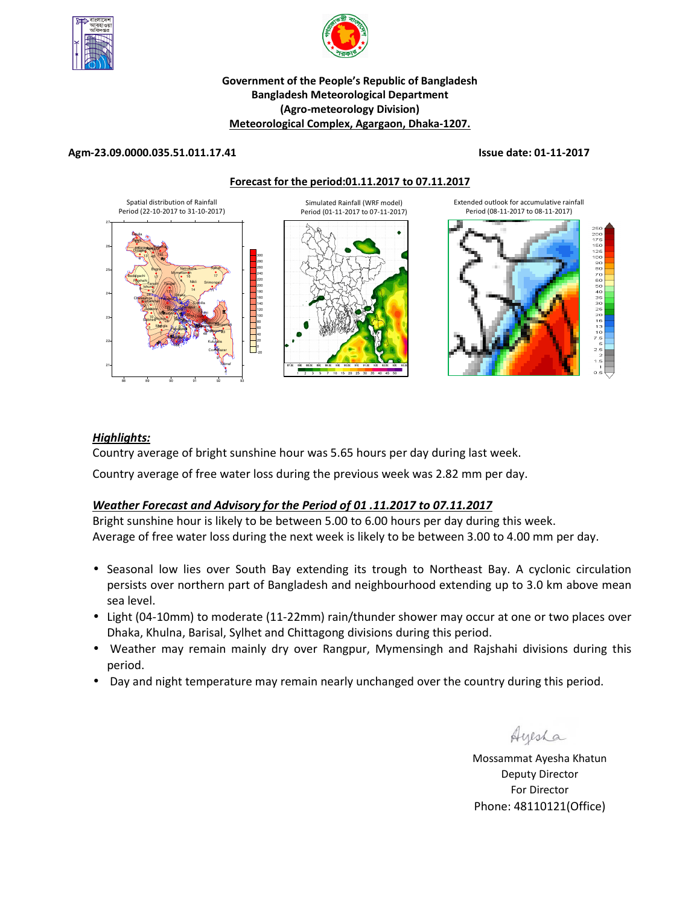



# **Government of the People's Republic of Bangladesh Bangladesh Meteorological Department (Agro-meteorology Division) Meteorological Complex, Agargaon, Dhaka-1207.**

## **Agm-23.09.0000.035.51.011.17.41 Issue date: 01-11-2017**

**Forecast for the period:01.11.2017 to 07.11.2017**



# *Highlights:*

Country average of bright sunshine hour was 5.65 hours per day during last week.

Country average of free water loss during the previous week was 2.82 mm per day.

# *Weather Forecast and Advisory for the Period of 01 .11.2017 to 07.11.2017*

Bright sunshine hour is likely to be between 5.00 to 6.00 hours per day during this week. Average of free water loss during the next week is likely to be between 3.00 to 4.00 mm per day.

- Seasonal low lies over South Bay extending its trough to Northeast Bay. A cyclonic circulation persists over northern part of Bangladesh and neighbourhood extending up to 3.0 km above mean sea level.
- Light (04-10mm) to moderate (11-22mm) rain/thunder shower may occur at one or two places over Dhaka, Khulna, Barisal, Sylhet and Chittagong divisions during this period.
- Weather may remain mainly dry over Rangpur, Mymensingh and Rajshahi divisions during this period.
- Day and night temperature may remain nearly unchanged over the country during this period.

Ayesha

**N.B** Mossammat Ayesha Khatun Deputy Director For Director Phone: 48110121(Office)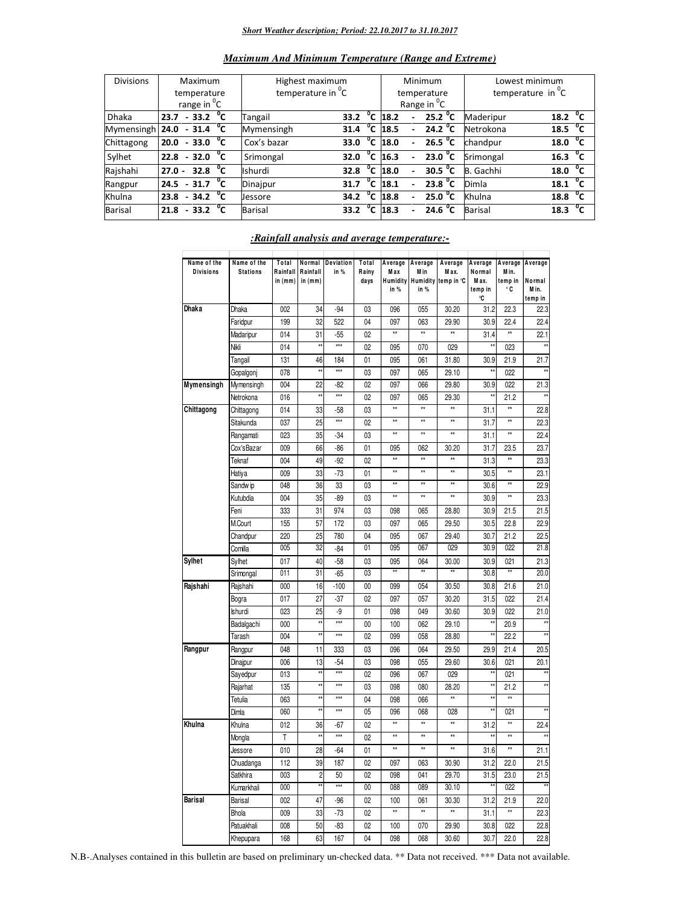#### *Short Weather description; Period: 22.10.2017 to 31.10.2017*

| <b>Divisions</b> | Maximum                 |  |                           |  |              | Highest maximum               |      |        |                     | Minimum                 | Lowest minimum   |                      |  |
|------------------|-------------------------|--|---------------------------|--|--------------|-------------------------------|------|--------|---------------------|-------------------------|------------------|----------------------|--|
|                  |                         |  | temperature               |  |              | temperature in <sup>o</sup> C |      |        |                     | temperature             | temperature in C |                      |  |
|                  | range in <sup>o</sup> C |  |                           |  |              |                               |      |        |                     | Range in <sup>o</sup> C |                  |                      |  |
| <b>Dhaka</b>     | 23.7                    |  | $-33.2$ <sup>o</sup> C    |  |              | Tangail                       | 33.2 | °c     | 18.2                | 25.2 $^{\circ}$ C       | Maderipur        | $^{\circ}$ c<br>18.2 |  |
| Mymensingh 24.0  |                         |  | $-31.4\text{ }^{\circ}$ C |  |              | Mymensingh                    | 31.4 |        | $^{\circ}$ C 18.5   | 24.2 $^{\circ}$ C       | Netrokona        | $18.5\text{ °C}$     |  |
| Chittagong       | 20.0                    |  | $-33.0$                   |  | $^{\circ}$ c | Cox's bazar                   | 33.0 |        | $\overline{C}$ 18.0 | 26.5 $^{\circ}$ C       | chandpur         | $^{\circ}$ c<br>18.0 |  |
| Sylhet           | 22.8                    |  | $-32.0$                   |  | $^{\circ}$ c | Srimongal                     | 32.0 |        | $^{\circ}$ C 16.3   | 23.0 <sup>o</sup> C     | Srimongal        | 16.3 <sup>o</sup> C  |  |
| Rajshahi         | $27.0 -$                |  | 32.8                      |  | $^0$ C       | <b>Ishurdi</b>                | 32.8 |        | $^{\circ}$ C 18.0   | 30.5 $^{\circ}$ C       | B. Gachhi        | $^{\circ}$ c<br>18.0 |  |
| Rangpur          | 24.5                    |  | $-31.7 °C$                |  |              | Dinajpur                      | 31.7 | °c     | 18.1                | 23.8 $^{\circ}$ C       | Dimla            | 18.1 <sup>o</sup> C  |  |
| Khulna           | 23.8                    |  | $-34.2\degree$ C          |  |              | Jessore                       | 34.2 | $^0$ C | 18.8                | 25.0 °C                 | Khulna           | $18.8\text{ °C}$     |  |
| <b>Barisal</b>   | 21.8                    |  | $-33.2$                   |  | $^{\circ}$ c | <b>Barisal</b>                | 33.2 | $^0$ C | 18.3                | 24.6 <sup>o</sup> C     | <b>Barisal</b>   | $^{\circ}$ c<br>18.3 |  |

## *Maximum And Minimum Temperature (Range and Extreme)*

| Name of the<br><b>Divisions</b> | Name of the<br><b>Stations</b> | Total<br>Rainfall | Normal<br>Rainfall      | Deviation<br>in %   | Total<br>Rainy | Average<br>M a x | Average<br>M in | Average<br>Max. | Average<br>Normal | Average Average<br>M in. |                 |
|---------------------------------|--------------------------------|-------------------|-------------------------|---------------------|----------------|------------------|-----------------|-----------------|-------------------|--------------------------|-----------------|
|                                 |                                | in (mm)           | in $(mm)$               |                     | days           | Humidity         | Humidity        | temp in °C      | M ax.             | temp in                  | Normal          |
|                                 |                                |                   |                         |                     |                | in %             | in %            |                 | temp in<br>°C     | ۰c                       | Min.<br>temp in |
| <b>Dhaka</b>                    | <b>Dhaka</b>                   | 002               | 34                      | $-94$               | 03             | 096              | 055             | 30.20           | 31.2              | 22.3                     | 22.3            |
|                                 | Faridpur                       | 199               | 32                      | 522                 | 04             | 097              | 063             | 29.90           | 30.9              | 22.4                     | 22.4            |
|                                 | Madaripur                      | 014               | 31                      | $-55$               | 02             | xx               | $\star\star$    | $\star\star$    | 31.4              | xx                       | 22.1            |
|                                 | Nikli                          | 014               | żś                      | xxx                 | 02             | 095              | 070             | 029             |                   | 023                      |                 |
|                                 | Tangail                        | 131               | 46                      | 184                 | 01             | 095              | 061             | 31.80           | 30.9              | 21.9                     | 21.7            |
|                                 | Gopalgonj                      | 078               | ź,                      | xx                  | 03             | 097              | 065             | 29.10           | وچ                | 022                      | $\star\star$    |
| Mymensingh                      | Mymensingh                     | 004               | $\overline{22}$         | $-82$               | 02             | 097              | 066             | 29.80           | 30.9              | 022                      | 21.3            |
|                                 | Netrokona                      | 016               | $^{\star}$              | xxx                 | 02             | 097              | 065             | 29.30           | ż1                | 21.2                     | $\star\star$    |
| Chittagong                      | Chittagong                     | 014               | 33                      | $-58$               | 03             | xx               | **              | **              | 31.1              | ±±                       | 22.8            |
|                                 | Sitakunda                      | 037               | 25                      | iii                 | 02             | xx               | $\star\star$    | $\star\star$    | 31.7              | xx                       | 22.3            |
|                                 | Rangamati                      | 023               | 35                      | $-34$               | 03             | ±±               | $\star\star$    | $\star\star$    | 31.1              | **                       | 22.4            |
|                                 | Cox'sBazar                     | 009               | 66                      | $-86$               | 01             | 095              | 062             | 30.20           | 31.7              | 23.5                     | 23.7            |
|                                 | Teknaf                         | 004               | 49                      | $-92$               | 02             | xx               | $\star\star$    | **              | 31.3              | xx                       | 23.3            |
|                                 | Hatiya                         | 009               | 33                      | $-73$               | 01             | xx               | xx              | **              | 30.5              | ±±                       | 23.1            |
|                                 | Sandw ip                       | 048               | 36                      | 33                  | 03             | **               | $\star\star$    | $\star\star$    | 30.6              | **                       | 22.9            |
|                                 | Kutubdia                       | 004               | 35                      | $-89$               | 03             | xx               | $\star\star$    | $^{\star\star}$ | 30.9              | **                       | 23.3            |
|                                 | Feni                           | 333               | 31                      | 974                 | 03             | 098              | 065             | 28.80           | 30.9              | 21.5                     | 21.5            |
|                                 | M.Court                        | 155               | 57                      | 172                 | 03             | 097              | 065             | 29.50           | 30.5              | 22.8                     | 22.9            |
|                                 | Chandpur                       | 220               | 25                      | 780                 | 04             | 095              | 067             | 29.40           | 30.7              | 21.2                     | 22.5            |
|                                 | Comilla                        | 005               | 32                      | $-84$               | 01             | 095              | 067             | 029             | 30.9              | 022                      | 21.8            |
| <b>Sylhet</b>                   | Sylhet                         | 017               | 40                      | $-58$               | 03             | 095              | 064             | 30.00           | 30.9              | 021                      | 21.3            |
|                                 | Srimongal                      | 011               | 31                      | $-65$               | 03             | xx               | $\star\star$    | xx              | 30.8              | ÷÷                       | 20.0            |
| Rajshahi                        | Rajshahi                       | 000               | 16                      | $-100$              | 00             | 099              | 054             | 30.50           | 30.8              | 21.6                     | 21.0            |
|                                 | Bogra                          | 017               | 27                      | $-37$               | 02             | 097              | 057             | 30.20           | 31.5              | 022                      | 21.4            |
|                                 | Ishurdi                        | 023               | 25                      | -9                  | 01             | 098              | 049             | 30.60           | 30.9              | 022                      | 21.0            |
|                                 | Badalgachi                     | 000               | ÷.                      | xx                  | 00             | 100              | 062             | 29.10           | 21                | 20.9                     | $\star\star$    |
|                                 | Tarash                         | 004               | żí                      | $\frac{1}{2}$       | 02             | 099              | 058             | 28.80           | ź,                | 22.2                     |                 |
| Rangpur                         | Rangpur                        | 048               | 11                      | 333                 | 03             | 096              | 064             | 29.50           | 29.9              | 21.4                     | 20.5            |
|                                 | Dinajpur                       | 006               | 13                      | $-54$               | 03             | 098              | 055             | 29.60           | 30.6              | 021                      | 20.1            |
|                                 | Sayedpur                       | 013               |                         | $\star \star \star$ | 02             | 096              | 067             | 029             | żś                | 021                      |                 |
|                                 | Rajarhat                       | 135               | ÷,                      | $\frac{1}{2}$       | 03             | 098              | 080             | 28.20           | żł                | 21.2                     | $\star\star$    |
|                                 | Tetulia                        | 063               | żś                      | $\pm \pm \pm$       | 04             | 098              | 066             | **              | żź                | ÷÷                       |                 |
|                                 | Dimla                          | 060               |                         | iii                 | 05             | 096              | 068             | 028             | Ħ                 | 021                      |                 |
| Khulna                          | Khulna                         | 012               | 36                      | $-67$               | 02             | ±±               | $^{\star\star}$ | $^{\star\star}$ | 31.2              | **                       | 22.4            |
|                                 | Mongla                         | Τ                 | ÷,                      | xx                  | 02             | xx               | $\star\star$    | $\star\star$    |                   | $\star\star$             | ×               |
|                                 | Jessore                        | 010               | 28                      | $-64$               | 01             | ŧż               | $\star\star$    | $\star\star$    | 31.6              | ±±                       | 21.1            |
|                                 | Chuadanga                      | 112               | 39                      | 187                 | 02             | 097              | 063             | 30.90           | 31.2              | 22.0                     | 21.5            |
|                                 | Satkhira                       | 003               | $\overline{\mathbf{c}}$ | 50                  | 02             | 098              | 041             | 29.70           | 31.5              | 23.0                     | 21.5            |
|                                 | Kumarkhali                     | 000               | ÷                       | $\frac{1}{111}$     | $00\,$         | 088              | 089             | 30.10           |                   | 022                      |                 |
| <b>Barisal</b>                  | Barisal                        | 002               | 47                      | $-96$               | 02             | 100              | 061             | 30.30           | 31.2              | 21.9                     | 22.0            |
|                                 | Bhola                          | 009               | 33                      | $-73$               | 02             | xx               | $\overline{1}$  | $\star\star$    | 31.1              | xx                       | 22.3            |
|                                 | Patuakhali                     | 008               | 50                      | $-83$               | 02             | 100              | 070             | 29.90           | 30.8              | 022                      | 22.8            |
|                                 | Khepupara                      | 168               | 63                      | 167                 | 04             | 098              | 068             | 30.60           | 30.7              | 22.0                     | 22.8            |

### *:Rainfall analysis and average temperature:-*

N.B-.Analyses contained in this bulletin are based on preliminary un-checked data. \*\* Data not received. \*\*\* Data not available.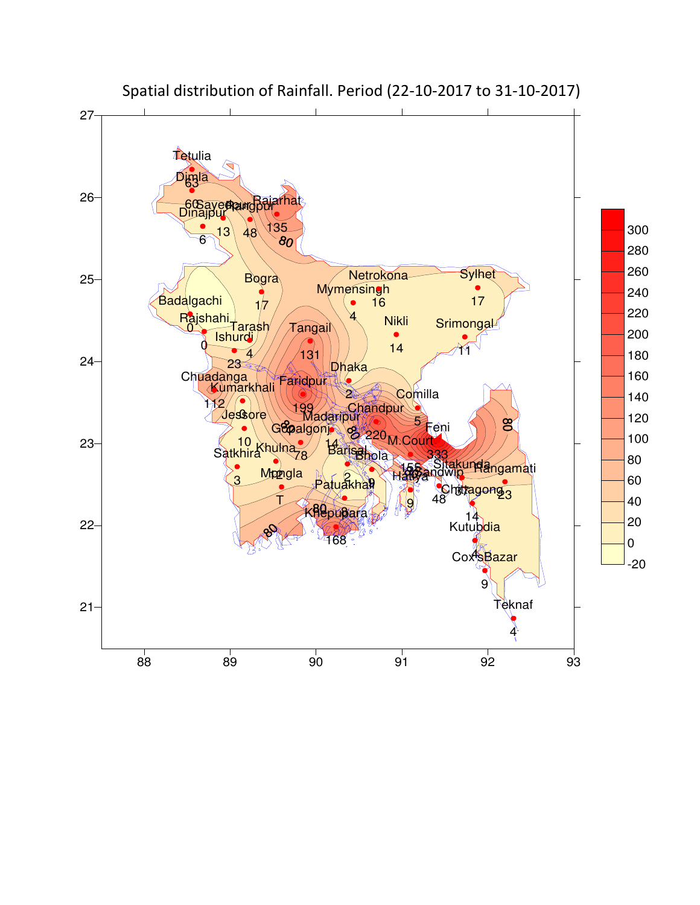

Spatial distribution of Rainfall. Period (22-10-2017 to 31-10-2017)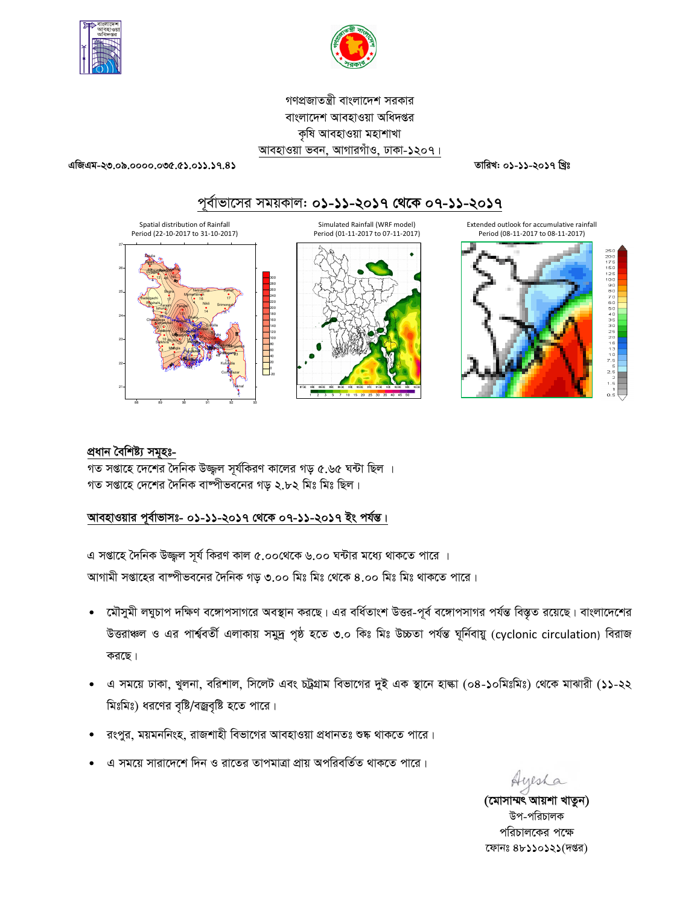



গণপ্রজাতন্ত্রী বাংলাদেশ সরকার বাংলাদেশ আবহাওয়া অধিদপ্তর কৃষি আবহাওয়া মহাশাখা আবহাওয়া ভবন, আগারগাঁও, ঢাকা-১২০৭।

 $4994 - 20.08.0000.000.033.39.8$ 

তারিখ: ০১-১১-২০১৭ খ্রিঃ





# প্ৰধান বৈশিষ্ট্য সমূহঃ-

গত সপ্তাহে দেশের দৈনিক উজ্জ্বল সূর্যকিরণ কালের গড় ৫.৬৫ ঘন্টা ছিল । গত সপ্তাহে দেশের দৈনিক বাষ্পীভবনের গড় ২.৮২ মিঃ মিঃ ছিল।

# আবহাওয়ার পূর্বাভাসঃ- ০১-১১-২০১৭ থেকে ০৭-১১-২০১৭ ইং পর্যন্ত।

এ সপ্তাহে দৈনিক উজ্জুল সূর্য কিরণ কাল ৫.০০থেকে ৬.০০ ঘন্টার মধ্যে থাকতে পারে । আগামী সপ্তাহের বাষ্পীভবনের দৈনিক গড় ৩.০০ মিঃ মিঃ থেকে ৪.০০ মিঃ মিঃ থাকতে পারে।

- মৌসুমী লঘুচাপ দক্ষিণ বঙ্গোপসাগরে অবস্থান করছে। এর বর্ধিতাংশ উত্তর-পূর্ব বঙ্গোপসাগর পর্যন্ত বিস্তৃত রয়েছে। বাংলাদেশের  $\bullet$ উত্তরাঞ্চল ও এর পার্শ্ববর্তী এলাকায় সমুদ্র পৃষ্ঠ হতে ৩.০ কিঃ মিঃ উচ্চতা পর্যন্ত ঘূর্নিবায়ু (cyclonic circulation) বিরাজ করছে।
- এ সময়ে ঢাকা, খুলনা, বরিশাল, সিলেট এবং চট্রগ্রাম বিভাগের দুই এক স্থানে হাল্কা (০৪-১০মিঃমিঃ) থেকে মাঝারী (১১-২২ মিঃমিঃ) ধরণের বৃষ্টি/বজ্রবৃষ্টি হতে পারে।
- রংপুর, ময়মননিংহ, রাজশাহী বিভাগের আবহাওয়া প্রধানতঃ শুষ্ক থাকতে পারে।
- এ সময়ে সারাদেশে দিন ও রাতের তাপমাত্রা প্রায় অপরিবর্তিত থাকতে পারে।

Ayesha

(মোসাম্মৎ আয়শা খাতুন) উপ-পরিচালক পরিচালকের পক্ষে ফোনঃ ৪৮১১০১২১(দপ্তর)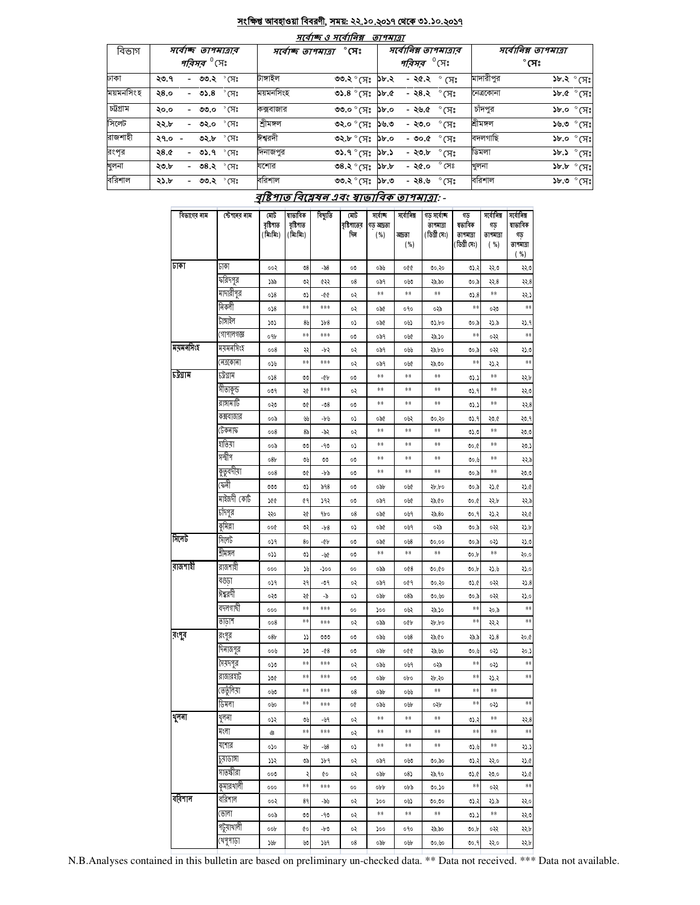#### সংক্ষিপ্ত আবহাওয়া বিবরণী, সময়: ২২.১০.২০১৭ থেকে ৩১.১০.২০১৭  $\overline{\phantom{a}}$

 $\overline{\phantom{a}}$ 

| বিভাগ     |          | সৰ্বোচ্ছ তাপমাত্ৰাৰ           | সৰ্বোচ্ছ ত্ৰাপমাত্ৰা | $7(9)$ 200 30 $7(9)$ 199<br>$^\circ$ সেঃ           | <i><b>9174191</b></i> | সর্বোনিম্ন তাপমাত্রার         |                |           | সর্বোনিম্ন তাপমাত্রা |                                                    |
|-----------|----------|-------------------------------|----------------------|----------------------------------------------------|-----------------------|-------------------------------|----------------|-----------|----------------------|----------------------------------------------------|
|           |          | <i>পরিসর <sup>৩</sup></i> সেঃ |                      |                                                    |                       | <i>পরিসর <sup>৩</sup></i> সেঃ |                |           | $^\circ$ সেঃ         |                                                    |
| ঢাকা      | ২৩.৭     | - ৩৩.২ ° সেঃ                  | টাঙ্গাইল             | ৩৩.২ ° সেঃ                                         | ১৮.২                  | - ২৫.২ $^{\circ}$ সেঃ         |                | মাদারীপুর |                      | $\delta x.$ ২ $\delta$ সেঃ                         |
| ময়মনসিংহ | 28.0     | - ৩১.৪ ° সেঃ                  | ময়মনসিংহ            | $0.36^\circ$ (H <sub>2</sub> ) $0.8^\circ$         |                       | - ২৪.২ ° সেঃ                  |                | নেত্ৰকোনা |                      | $SP^{\circ}$ $\mathcal{M}$                         |
| চট্টগ্ৰাম | ২০.০     | $^{\circ}$ মেঃ<br>- ৩৩.০      | কক্সবাজার            | $\circ$ .৩° সেঃ ১৮.০                               |                       | - ২৬.৫                        | $^{\circ}$ সেঃ | চাঁদপুর   |                      | $~3b$ .0 $~\circ$ (H <sup>2</sup>                  |
| সিলেট     | ২২.৮     | $^{\circ}$ সেঃ<br>- ৩২.০      | শ্ৰীমঙ্গল            | $0.92$ $^{\circ}$ $\sqrt{3}$ $^{\circ}$ $\sqrt{2}$ |                       | - ২৩.০                        | $\degree$ CF)  | শ্ৰীমঙ্গল |                      | $\mathcal{S} \mathbb{R}^{\circ}$ ৩.৬ $\mathcal{C}$ |
| রাজশাহী   | $29.0 -$ | ৩২.৮ ° সেঃ                    | ঈশ্বরদী              | <b>৩২.৮</b> ° (সঃ ১৮.০                             |                       | - ৩০.৫                        | ੰ (ਸ $\degree$ | বদলগাছি   |                      | $~3b$ .০ $~\circ$ (সঃ                              |
| রংপর      | ২৪.৫     | - ৩১.৭ °সেঃ                   | দিনাজপুর             | ৩১.৭ ° সেঃ                                         | ১৮.১                  | - ২৩.৮                        | $\degree$ CF)  | ডিমলা     |                      | $~3b.3~^\circ$ (F):                                |
| খুলনা     | ২৩.৮     | - ৩৪.২ ° সেঃ                  | যশোর                 | $3.8^\circ$ (সঃ ১৮.৮                               |                       | - ২৫.০                        | $^{\circ}$ সেঃ | খুলনা     |                      | $3b \cdot b$ $\circ$ $(7)$                         |
| বরিশাল    | ২১.৮     | - ৩৩.২ ° সেঃ                  | বরিশাল               | $\circ$ . ব $\zeta$ ঃ $\mathbb{F}$ ) $\sim$ .      |                       | -২৪.৬                         | $\degree$ CF)  | বরিশাল    |                      | $3b.0$ $^{\circ}$ (সেঃ                             |

# বৃষ্টিপাত বিশ্লেষন এবং স্বাভাবিক তাপমাত্রা: -

| বিভাগের নাম | ষ্টেশনের নাম | মোট<br>বৃষ্টিশাত<br>(মিঃমিঃ) | ষাভাবিক<br>বৃষ্টিপাত<br>(মিঃমিঃ) | বিছ্যুতি      | মোট<br>বৃষ্টিপাতের<br>দিন | সৰ্বোচ্ছ<br>গড আদ্ৰতা<br>( %) | সৰ্বোনিম্ন<br>আগতা<br>( %) | গড সৰ্বোচ্ছ<br>তাপমাত্রা<br>(ডিগ্ৰী সেঃ) | গড<br>ম্বভাবিক<br>তাপমাত্রা<br>(ডিগ্ৰী সেঃ) | সৰ্বোনিম্ন<br>গড<br>তাপমাত্রা<br>( %) | সৰ্বোনিম্ন<br>ষাভাবিক<br>গড<br>তাপমাত্রা |
|-------------|--------------|------------------------------|----------------------------------|---------------|---------------------------|-------------------------------|----------------------------|------------------------------------------|---------------------------------------------|---------------------------------------|------------------------------------------|
|             |              |                              |                                  |               |                           |                               |                            |                                          |                                             |                                       | ( %)                                     |
| जग          | ঢাকা         | ००२                          | 08                               | -58           | 00                        | ০৯৬                           | 990                        | ৩০.২০                                    | 0.32                                        | 550                                   | २२.७                                     |
|             | ফরিদপুর      | ১৯৯                          | ৩২                               | ৫২২           | 08                        | ०৯१                           | 060                        | ২৯.৯০                                    | 00.5                                        | <b>২২.8</b>                           | २२.8                                     |
|             | মাদারীপুর    | 058                          | ಉ                                | -00           | ०२                        | **                            | **                         | **                                       | 0.8                                         | $\ast\ast$                            | 95.,                                     |
|             | নিকলী        | 058                          | **                               | ***           | ०२                        | ०५१                           | oqo                        | ०३৯                                      | **                                          | ০২৩                                   | $**$                                     |
|             | টাঙ্গাইল     | 505                          | 85                               | $\frac{1}{8}$ | ٥,                        | ०५१                           | ০৬১                        | 05.00                                    | ৩০.৯                                        | 579                                   | ২১.৭                                     |
|             | গোপালগজ্ঞ    | ०१৮                          | **                               | ***           | 00                        | ०৯१                           | ০৬৫                        | ২৯.১০                                    | **                                          | ०२२                                   | $**$                                     |
| ময়মনসিংহ   | ময়মনসিংহ    | 008                          | સ્ર                              | -65           | ०२                        | ०৯१                           | ০৬৬                        | ২৯.৮০                                    | 00.5                                        | ०२२                                   | 376                                      |
|             | নেত্ৰকোনা    | 059                          | **                               | ***           | ०२                        | ०৯१                           | ove                        | ২৯.৩০                                    | **                                          | ২১.২                                  | **                                       |
| চউগ্ৰাম     | চৰ্টগ্ৰাম    | 058                          | v                                | -64           | OU                        | **                            | **                         | **                                       | 05.5                                        | **                                    | ২২.৮                                     |
|             | সীতাকুন্ড    | 009                          | ২৫                               | ***           | ०२                        | **                            | **                         | **                                       | 0.9                                         | $\ast\ast$                            | २२.७                                     |
|             | রাঙ্গামাটি   | ০২৩                          | VĆ                               | -08           | OU                        | **                            | **                         | **                                       | 05.5                                        | $\ast\ast$                            | २२.8                                     |
|             | কক্সবাজার    | ००৯                          | yy                               | -৮৬           | ٥,                        | ०५१                           | ০৬২                        | ৩০.২০                                    | 0).۹                                        | ২৩.৫                                  | ২৩.৭                                     |
|             | টেকনাফ       | 008                          | 85                               | -95           | ०२                        | **                            | **                         | **                                       | 0.0                                         | $\ast\ast$                            | ২৩.৩                                     |
|             | যাতমা        | ००৯                          | v                                | -90           | ٥,                        | **                            | **                         | **                                       | ৩০.৫                                        | $\ast\ast$                            | 30.2                                     |
|             | সন্দ্বীপ     | 087                          | ৩৬                               | VV            | OU                        | **                            | **                         | **                                       | ಲಿಂ.೬                                       | $\ast\ast$                            | 559                                      |
|             | কুত্বদীয়া   | 008                          | OĆ                               | -10           | OU                        | **                            | **                         | **                                       | ৩০.৯                                        | $\ast\ast$                            | ২৩.৩                                     |
|             | ফেনী         | 000                          | ৩১                               | 598           | OU                        | odb                           | ০৬৫                        | ২৮.৮০                                    | 00.5                                        | ২১.৫                                  | 576                                      |
|             | মাইজদী কোর্ট | 200                          | ¢٩                               | ১৭২           | OU                        | ०৯१                           | ove                        | ২৯.৫০                                    | Oo.C                                        | ২২.৮                                  | 559                                      |
|             | চাঁদপুর      | २२०                          | ২৫                               | 9bo           | 08                        | ०५१                           | ०७१                        | ২৯.৪০                                    | 00.9                                        | ২১.২                                  | २२.०                                     |
|             | কুমিল্লা     | ००৫                          | ৩২                               | $-b8$         | ٥,                        | ०५१                           | ०७१                        | ০২৯                                      | 00.5                                        | ०२२                                   | 52P                                      |
| সিলেট       | पि(लर्ट      | ०১१                          | 80                               | -64           | OU                        | ०५१                           | 048                        | 00.00                                    | 00.5                                        | ०३১                                   | ২১৩                                      |
|             | শ্ৰীমঙ্গল    | دده                          | ৩১                               | -W            | 00                        | $**$                          | **                         | **                                       | 00.5                                        | **                                    | २०.०                                     |
| রাজশাহী     | রাজশাহী      | 000                          | ১৬                               | -200          | 00                        | ০৯৯                           | 008                        | 00.00                                    | 00.b                                        | ২১.৬                                  | 500                                      |
|             | বগুড়া       | ०১१                          | २१                               | -৩৭           | ०२                        | ०৯१                           | ०৫१                        | ৩০.২০                                    | 0.6                                         | ०२२                                   | 3.8                                      |
|             | ঈশ্বরদী      | ০২৩                          | ২৫                               | -5            | ٥,                        | odb                           | ०8৯                        | ৩০.৬০                                    | 00.5                                        | ०२२                                   | 570                                      |
|             | বদলগাদী      | 000                          | **                               | ***           | 00                        | 200                           | ০৬২                        | ২৯.১০                                    | **                                          | ২০.৯                                  | **                                       |
|             | তাডাশ        | 008                          | **                               | ***           | ०२                        | ০৯৯                           | oQp                        | ২৮.৮০                                    | **                                          | ૨૨.૨                                  | **                                       |
| রংপুর       | রংপুর        | 087                          | ړړ                               | 000           | 00                        | ০৯৬                           | 048                        | ২৯.৫০                                    | ২৯.৯                                        | ২১.৪                                  | ২০.৫                                     |
|             | দিনাজপুর     | ০০৬                          | ১৩                               | -08           | OU                        | odb                           | 990                        | ২৯.৬০                                    | 00.6                                        | ०३১                                   | ২০.১                                     |
|             | সৈয়দপুর     | ০১৩                          | **                               | ***           | ०२                        | ০৯৬                           | ०७१                        | ০২৯                                      | **                                          | ०३১                                   | **                                       |
|             | রাজারহাট     | ১৩৫                          | **                               | ***           | OU                        | odb                           | opo                        | ২৮.২০                                    | **                                          | ২১.২                                  | **                                       |
|             | ভেতুঁলিয়া   | owo                          | **                               | ***           | 08                        | odb                           | ০৬৬                        | **                                       | **                                          | **                                    |                                          |
|             | जिमना        | ০৬০                          | **                               | ***           | o¢                        | ০৯৬                           | oUr                        | ০২৮                                      | **                                          | ०३১                                   | **                                       |
| शूनना       | যুণণ।        | ०५२                          | ৩৬                               | -159          | ০২                        | **                            | **                         | **                                       | 05.5                                        | **                                    | રર.8                                     |
|             | মংলা         | Q3                           | **                               | ***           | ०२                        | **                            | **                         | **                                       | **                                          | **                                    | **                                       |
|             | যশোর         | 070                          | ২৮                               | -68           | ο১                        | **                            | **                         | **                                       | 0.6                                         | **                                    | 577                                      |
|             | प्राणामा     | 775                          | ৩৯                               | ১৮৭           | ০২                        | ०৯१                           | 090                        | ৩০.৯০                                    | 0.3                                         | २२.०                                  | 376                                      |
|             | সাতক্ষীরা    | ೲ                            | ২                                | Q0            | ०२                        | ০৯৮                           | 08)                        | ২৯.৭০                                    | 0.6                                         | ২৩.০                                  | 376                                      |
|             | কুমারথালী    | 000                          | **                               | ***           | 00                        | opp                           | obb                        | ৩০.১০                                    | **                                          | ०२२                                   | $\ast\ast$                               |
| বরিশাল      | বারশাল       | ००२                          | 89                               | -৯৬           | ০২                        | 200                           | ০৬১                        | ৩০.৩০                                    | 0.3                                         | 579                                   | २२.०                                     |
|             | (ভালা        | ००৯                          | VV                               | -90           | ০২                        | **                            | **                         | **                                       | 05.5                                        | **                                    | २२.७                                     |
|             | পটুয়াথালী   | oop                          | QO                               | -60           | ০২                        | 200                           | 090                        | ২৯.৯০                                    | 90.b                                        | ०२२                                   | ২২.৮                                     |
|             | থেপুপাড়া    | <b>YAP</b>                   | w                                | ১৬৭           | 08                        | odb                           | oUr                        | ৩০.৬০                                    | 00.9                                        | ২২.০                                  | ২২.৮                                     |

N.B.Analyses contained in this bulletin are based on preliminary un-checked data. \*\* Data not received. \*\*\* Data not available.